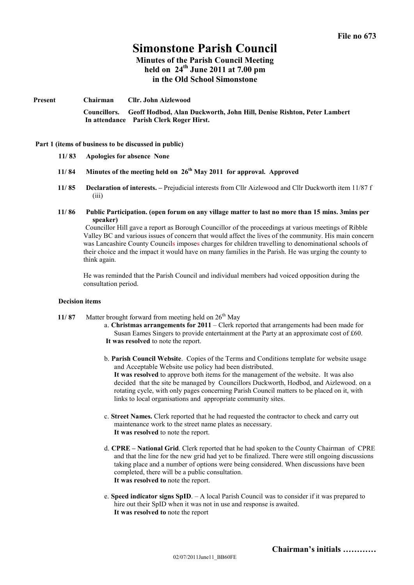# **Simonstone Parish Council**

**Minutes of the Parish Council Meeting held on 24th June 2011 at 7.00 pm in the Old School Simonstone**

**Present Chairman Cllr. John Aizlewood Councillors. Geoff Hodbod, Alan Duckworth, John Hill, Denise Rishton, Peter Lambert In attendance Parish Clerk Roger Hirst.**

#### **Part 1 (items of business to be discussed in public)**

- **11/ 83 Apologies for absence None**
- **11/ 84 Minutes of the meeting held on 26 th May 2011 for approval. Approved**
- **11/ 85 Declaration of interests. –** Prejudicial interests from Cllr Aizlewood and Cllr Duckworth item 11/87 f (iii)
- **11/ 86 Public Participation. (open forum on any village matter to last no more than 15 mins. 3mins per speaker)**

Councillor Hill gave a report as Borough Councillor of the proceedings at various meetings of Ribble Valley BC and various issues of concern that would affect the lives of the community. His main concern was Lancashire County Councils imposes charges for children travelling to denominational schools of their choice and the impact it would have on many families in the Parish. He was urging the county to think again.

He was reminded that the Parish Council and individual members had voiced opposition during the consultation period.

#### **Decision items**

- **11/87** Matter brought forward from meeting held on  $26<sup>th</sup>$  May
	- a. **Christmas arrangements for 2011** Clerk reported that arrangements had been made for Susan Eames Singers to provide entertainment at the Party at an approximate cost of £60. **It was resolved** to note the report.
	- b. **Parish Council Website**. Copies of the Terms and Conditions template for website usage and Acceptable Website use policy had been distributed. **It was resolved** to approve both items for the management of the website. It was also decided that the site be managed by Councillors Duckworth, Hodbod, and Aizlewood. on a rotating cycle, with only pages concerning Parish Council matters to be placed on it, with links to local organisations and appropriate community sites.
	- c. **Street Names.** Clerk reported that he had requested the contractor to check and carry out maintenance work to the street name plates as necessary. **It was resolved** to note the report.
	- d. **CPRE National Grid**. Clerk reported that he had spoken to the County Chairman of CPRE and that the line for the new grid had yet to be finalized. There were still ongoing discussions taking place and a number of options were being considered. When discussions have been completed, there will be a public consultation. **It was resolved to** note the report.
	- e. **Speed indicator signs SpID**. A local Parish Council was to consider if it was prepared to hire out their SpID when it was not in use and response is awaited. **It was resolved to** note the report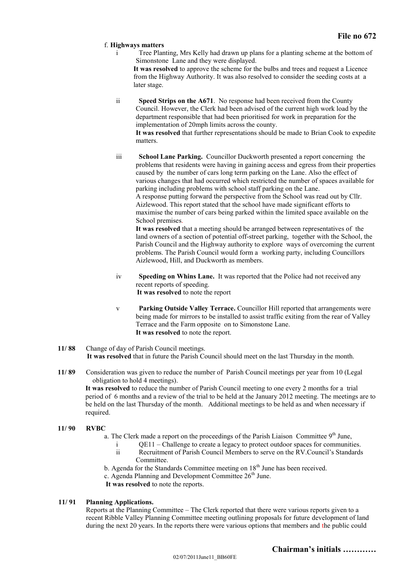## f. **Highways matters**

i Tree Planting, Mrs Kelly had drawn up plans for a planting scheme at the bottom of Simonstone Lane and they were displayed.

**It was resolved** to approve the scheme for the bulbs and trees and request a Licence from the Highway Authority. It was also resolved to consider the seeding costs at a later stage.

ii **Speed Strips on the A671**. No response had been received from the County Council. However, the Clerk had been advised of the current high work load by the department responsible that had been prioritised for work in preparation for the implementation of 20mph limits across the county.

**It was resolved** that further representations should be made to Brian Cook to expedite matters.

iii **School Lane Parking.** Councillor Duckworth presented a report concerning the problems that residents were having in gaining access and egress from their properties caused by the number of cars long term parking on the Lane. Also the effect of various changes that had occurred which restricted the number of spaces available for parking including problems with school staff parking on the Lane. A response putting forward the perspective from the School was read out by Cllr. Aizlewood. This report stated that the school have made significant efforts to

maximise the number of cars being parked within the limited space available on the School premises.

**It was resolved** that a meeting should be arranged between representatives of the land owners of a section of potential off-street parking, together with the School, the Parish Council and the Highway authority to explore ways of overcoming the current problems. The Parish Council would form a working party, including Councillors Aizlewood, Hill, and Duckworth as members.

- iv **Speeding on Whins Lane.** It was reported that the Police had not received any recent reports of speeding. **It was resolved** to note the report
- v **Parking Outside Valley Terrace.** Councillor Hill reported that arrangements were being made for mirrors to be installed to assist traffic exiting from the rear of Valley Terrace and the Farm opposite on to Simonstone Lane. **It was resolved** to note the report.
- **11/ 88** Change of day of Parish Council meetings. **It was resolved** that in future the Parish Council should meet on the last Thursday in the month.
- **11/ 89** Consideration was given to reduce the number of Parish Council meetings per year from 10 (Legal obligation to hold 4 meetings).

**It was resolved** to reduce the number of Parish Council meeting to one every 2 months for a trial period of 6 months and a review of the trial to be held at the January 2012 meeting. The meetings are to be held on the last Thursday of the month. Additional meetings to be held as and when necessary if required.

- **11/ 90 RVBC**
	- a. The Clerk made a report on the proceedings of the Parish Liaison Committee  $9<sup>th</sup>$  June,
		- i QE11 Challenge to create a legacy to protect outdoor spaces for communities.
		- ii Recruitment of Parish Council Members to serve on the RV.Council's Standards Committee.
	- b. Agenda for the Standards Committee meeting on  $18<sup>th</sup>$  June has been received.
	- c. Agenda Planning and Development Committee  $26<sup>th</sup>$  June.
	- **It was resolved** to note the reports.

## **11/ 91 Planning Applications.**

Reports at the Planning Committee – The Clerk reported that there were various reports given to a recent Ribble Valley Planning Committee meeting outlining proposals for future development of land during the next 20 years. In the reports there were various options that members and the public could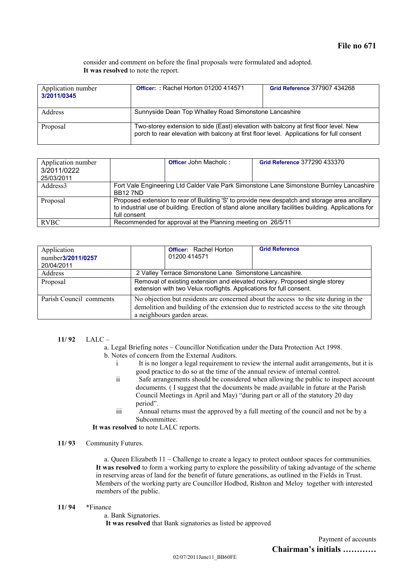consider and comment on before the final proposals were formulated and adopted. **It was resolved** to note the report.

| Application number<br>3/2011/0345 | Officer:: Rachel Horton 01200 414571                                                                                                                                             | Grid Reference 377907 434268 |
|-----------------------------------|----------------------------------------------------------------------------------------------------------------------------------------------------------------------------------|------------------------------|
| <b>Address</b>                    | Sunnyside Dean Top Whalley Road Simonstone Lancashire                                                                                                                            |                              |
| Proposal                          | Two-storey extension to side (East) elevation with balcony at first floor level. New<br>porch to rear elevation with balcony at first floor level. Applications for full consent |                              |

| Application number<br>3/2011/0222<br>25/03/2011 | <b>Officer John Macholc:</b><br>Grid Reference 377290 433370                                                                                                                                                            |  |  |
|-------------------------------------------------|-------------------------------------------------------------------------------------------------------------------------------------------------------------------------------------------------------------------------|--|--|
| Address <sub>3</sub>                            | Fort Vale Engineering Ltd Calder Vale Park Simonstone Lane Simonstone Burnley Lancashire<br><b>BB127ND</b>                                                                                                              |  |  |
| Proposal                                        | Proposed extension to rear of Building 'S' to provide new despatch and storage area ancillary<br>to industrial use of building. Erection of stand alone ancillary facilities building. Applications for<br>full consent |  |  |
| <b>RVBC</b>                                     | Recommended for approval at the Planning meeting on 26/5/11                                                                                                                                                             |  |  |

| Application<br>number3/2011/0257<br>20/04/2011 | <b>Grid Reference</b><br><b>Officer:</b> Rachel Horton<br>01200 414571                                                                                                                                     |  |
|------------------------------------------------|------------------------------------------------------------------------------------------------------------------------------------------------------------------------------------------------------------|--|
| Address                                        | 2 Valley Terrace Simonstone Lane Simonstone Lancashire.                                                                                                                                                    |  |
| Proposal                                       | Removal of existing extension and elevated rockery. Proposed single storey<br>extension with two Velux rooflights. Applications for full consent.                                                          |  |
| Parish Council comments                        | No objection but residents are concerned about the access to the site during in the<br>demolition and building of the extension due to restricted access to the site through<br>a neighbours garden areas. |  |

## **11/ 92** LALC –

a. Legal Briefing notes – Councillor Notification under the Data Protection Act 1998.

- b. Notes of concern from the External Auditors.
	- i It is no longer a legal requirement to review the internal audit arrangements, but it is good practice to do so at the time of the annual review of internal control.
	- ii Safe arrangements should be considered when allowing the public to inspect account documents. ( I suggest that the documents be made available in future at the Parish Council Meetings in April and May) "during part or all of the statutory 20 day period".
	- iii Annual returns must the approved by a full meeting of the council and not be by a Subcommittee.

**It was resolved** to note LALC reports.

## **11/ 93** Community Futures.

a. Queen Elizabeth 11 – Challenge to create a legacy to protect outdoor spaces for communities. **It was resolved** to form a working party to explore the possibility of taking advantage of the scheme in reserving areas of land for the benefit of future generations, as outlined in the Fields in Trust. Members of the working party are Councillor Hodbod, Rishton and Meloy together with interested members of the public.

**11/ 94 \***Finance

a. Bank Signatories. **It was resolved** that Bank signatories as listed be approved